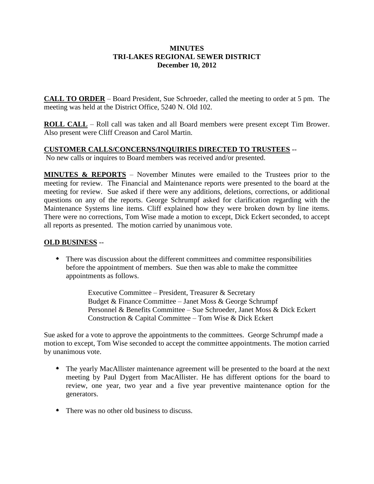## **MINUTES TRI-LAKES REGIONAL SEWER DISTRICT December 10, 2012**

**CALL TO ORDER** – Board President, Sue Schroeder, called the meeting to order at 5 pm. The meeting was held at the District Office, 5240 N. Old 102.

**ROLL CALL** – Roll call was taken and all Board members were present except Tim Brower. Also present were Cliff Creason and Carol Martin.

## **CUSTOMER CALLS/CONCERNS/INQUIRIES DIRECTED TO TRUSTEES** --

No new calls or inquires to Board members was received and/or presented.

**MINUTES & REPORTS** – November Minutes were emailed to the Trustees prior to the meeting for review. The Financial and Maintenance reports were presented to the board at the meeting for review. Sue asked if there were any additions, deletions, corrections, or additional questions on any of the reports. George Schrumpf asked for clarification regarding with the Maintenance Systems line items. Cliff explained how they were broken down by line items. There were no corrections, Tom Wise made a motion to except, Dick Eckert seconded, to accept all reports as presented. The motion carried by unanimous vote.

## **OLD BUSINESS** --

 There was discussion about the different committees and committee responsibilities before the appointment of members. Sue then was able to make the committee appointments as follows.

> Executive Committee – President, Treasurer & Secretary Budget & Finance Committee – Janet Moss & George Schrumpf Personnel & Benefits Committee – Sue Schroeder, Janet Moss & Dick Eckert Construction & Capital Committee – Tom Wise & Dick Eckert

Sue asked for a vote to approve the appointments to the committees. George Schrumpf made a motion to except, Tom Wise seconded to accept the committee appointments. The motion carried by unanimous vote.

- The yearly MacAllister maintenance agreement will be presented to the board at the next meeting by Paul Dygert from MacAllister. He has different options for the board to review, one year, two year and a five year preventive maintenance option for the generators.
- There was no other old business to discuss.